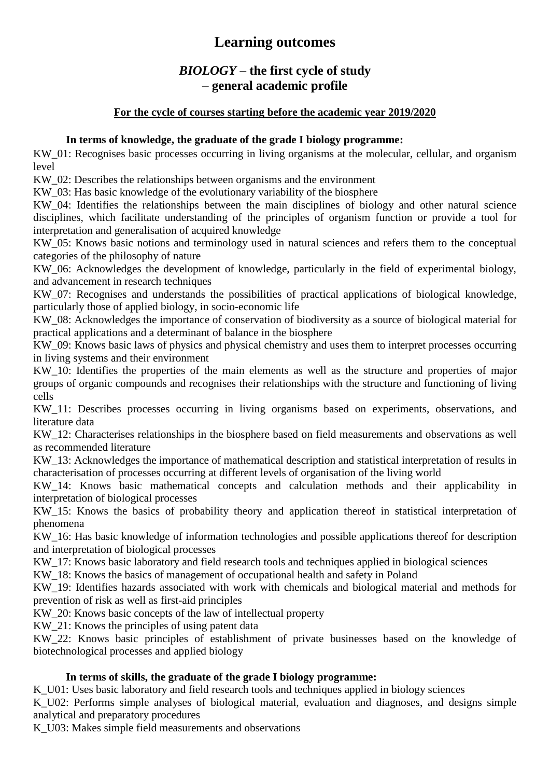## *BIOLOGY* **– the first cycle of study – general academic profile**

### **For the cycle of courses starting before the academic year 2019/2020**

### **In terms of knowledge, the graduate of the grade I biology programme:**

KW 01: Recognises basic processes occurring in living organisms at the molecular, cellular, and organism level

KW 02: Describes the relationships between organisms and the environment

KW\_03: Has basic knowledge of the evolutionary variability of the biosphere

KW\_04: Identifies the relationships between the main disciplines of biology and other natural science disciplines, which facilitate understanding of the principles of organism function or provide a tool for interpretation and generalisation of acquired knowledge

KW 05: Knows basic notions and terminology used in natural sciences and refers them to the conceptual categories of the philosophy of nature

KW 06: Acknowledges the development of knowledge, particularly in the field of experimental biology, and advancement in research techniques

KW\_07: Recognises and understands the possibilities of practical applications of biological knowledge, particularly those of applied biology, in socio-economic life

KW 08: Acknowledges the importance of conservation of biodiversity as a source of biological material for practical applications and a determinant of balance in the biosphere

KW\_09: Knows basic laws of physics and physical chemistry and uses them to interpret processes occurring in living systems and their environment

KW 10: Identifies the properties of the main elements as well as the structure and properties of major groups of organic compounds and recognises their relationships with the structure and functioning of living cells

KW\_11: Describes processes occurring in living organisms based on experiments, observations, and literature data

KW\_12: Characterises relationships in the biosphere based on field measurements and observations as well as recommended literature

KW 13: Acknowledges the importance of mathematical description and statistical interpretation of results in characterisation of processes occurring at different levels of organisation of the living world

KW\_14: Knows basic mathematical concepts and calculation methods and their applicability in interpretation of biological processes

KW 15: Knows the basics of probability theory and application thereof in statistical interpretation of phenomena

KW\_16: Has basic knowledge of information technologies and possible applications thereof for description and interpretation of biological processes

KW 17: Knows basic laboratory and field research tools and techniques applied in biological sciences

KW\_18: Knows the basics of management of occupational health and safety in Poland

KW\_19: Identifies hazards associated with work with chemicals and biological material and methods for prevention of risk as well as first-aid principles

KW 20: Knows basic concepts of the law of intellectual property

KW 21: Knows the principles of using patent data

KW\_22: Knows basic principles of establishment of private businesses based on the knowledge of biotechnological processes and applied biology

### **In terms of skills, the graduate of the grade I biology programme:**

K\_U01: Uses basic laboratory and field research tools and techniques applied in biology sciences K<sub>U02</sub>: Performs simple analyses of biological material, evaluation and diagnoses, and designs simple

analytical and preparatory procedures

K\_U03: Makes simple field measurements and observations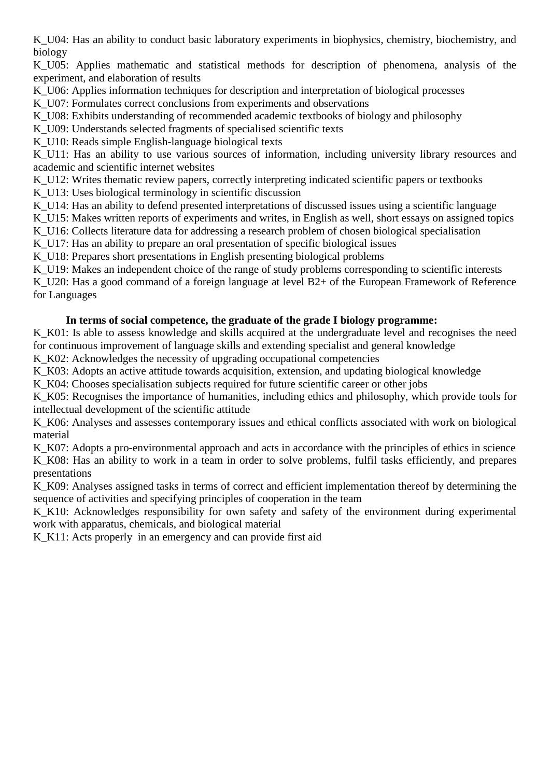K\_U04: Has an ability to conduct basic laboratory experiments in biophysics, chemistry, biochemistry, and biology

K\_U05: Applies mathematic and statistical methods for description of phenomena, analysis of the experiment, and elaboration of results

K\_U06: Applies information techniques for description and interpretation of biological processes

K\_U07: Formulates correct conclusions from experiments and observations

K\_U08: Exhibits understanding of recommended academic textbooks of biology and philosophy

K\_U09: Understands selected fragments of specialised scientific texts

K U10: Reads simple English-language biological texts

K\_U11: Has an ability to use various sources of information, including university library resources and academic and scientific internet websites

K\_U12: Writes thematic review papers, correctly interpreting indicated scientific papers or textbooks

K\_U13: Uses biological terminology in scientific discussion

K\_U14: Has an ability to defend presented interpretations of discussed issues using a scientific language

K\_U15: Makes written reports of experiments and writes, in English as well, short essays on assigned topics

K\_U16: Collects literature data for addressing a research problem of chosen biological specialisation

K\_U17: Has an ability to prepare an oral presentation of specific biological issues

K\_U18: Prepares short presentations in English presenting biological problems

K U19: Makes an independent choice of the range of study problems corresponding to scientific interests K U20: Has a good command of a foreign language at level B2+ of the European Framework of Reference for Languages

### **In terms of social competence, the graduate of the grade I biology programme:**

K\_K01: Is able to assess knowledge and skills acquired at the undergraduate level and recognises the need for continuous improvement of language skills and extending specialist and general knowledge

K\_K02: Acknowledges the necessity of upgrading occupational competencies

K\_K03: Adopts an active attitude towards acquisition, extension, and updating biological knowledge

K\_K04: Chooses specialisation subjects required for future scientific career or other jobs

K\_K05: Recognises the importance of humanities, including ethics and philosophy, which provide tools for intellectual development of the scientific attitude

K\_K06: Analyses and assesses contemporary issues and ethical conflicts associated with work on biological material

K\_K07: Adopts a pro-environmental approach and acts in accordance with the principles of ethics in science K\_K08: Has an ability to work in a team in order to solve problems, fulfil tasks efficiently, and prepares presentations

K\_K09: Analyses assigned tasks in terms of correct and efficient implementation thereof by determining the sequence of activities and specifying principles of cooperation in the team

K K10: Acknowledges responsibility for own safety and safety of the environment during experimental work with apparatus, chemicals, and biological material

K\_K11: Acts properly in an emergency and can provide first aid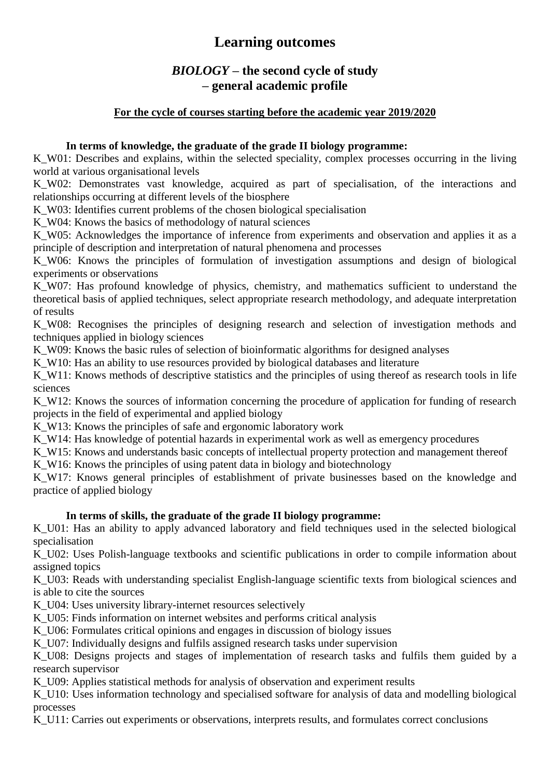## *BIOLOGY* **– the second cycle of study – general academic profile**

### **For the cycle of courses starting before the academic year 2019/2020**

### **In terms of knowledge, the graduate of the grade II biology programme:**

K W01: Describes and explains, within the selected speciality, complex processes occurring in the living world at various organisational levels

K\_W02: Demonstrates vast knowledge, acquired as part of specialisation, of the interactions and relationships occurring at different levels of the biosphere

K W03: Identifies current problems of the chosen biological specialisation

K\_W04: Knows the basics of methodology of natural sciences

K\_W05: Acknowledges the importance of inference from experiments and observation and applies it as a principle of description and interpretation of natural phenomena and processes

K W06: Knows the principles of formulation of investigation assumptions and design of biological experiments or observations

K W07: Has profound knowledge of physics, chemistry, and mathematics sufficient to understand the theoretical basis of applied techniques, select appropriate research methodology, and adequate interpretation of results

K\_W08: Recognises the principles of designing research and selection of investigation methods and techniques applied in biology sciences

K\_W09: Knows the basic rules of selection of bioinformatic algorithms for designed analyses

K W10: Has an ability to use resources provided by biological databases and literature

K\_W11: Knows methods of descriptive statistics and the principles of using thereof as research tools in life sciences

K W12: Knows the sources of information concerning the procedure of application for funding of research projects in the field of experimental and applied biology

K W13: Knows the principles of safe and ergonomic laboratory work

K\_W14: Has knowledge of potential hazards in experimental work as well as emergency procedures

K\_W15: Knows and understands basic concepts of intellectual property protection and management thereof

K W16: Knows the principles of using patent data in biology and biotechnology

K\_W17: Knows general principles of establishment of private businesses based on the knowledge and practice of applied biology

### **In terms of skills, the graduate of the grade II biology programme:**

K\_U01: Has an ability to apply advanced laboratory and field techniques used in the selected biological specialisation

K U02: Uses Polish-language textbooks and scientific publications in order to compile information about assigned topics

K\_U03: Reads with understanding specialist English-language scientific texts from biological sciences and is able to cite the sources

K\_U04: Uses university library-internet resources selectively

K\_U05: Finds information on internet websites and performs critical analysis

K\_U06: Formulates critical opinions and engages in discussion of biology issues

K<sub>U07</sub>: Individually designs and fulfils assigned research tasks under supervision

K U08: Designs projects and stages of implementation of research tasks and fulfils them guided by a research supervisor

K<sub>U09</sub>: Applies statistical methods for analysis of observation and experiment results

K\_U10: Uses information technology and specialised software for analysis of data and modelling biological processes

K\_U11: Carries out experiments or observations, interprets results, and formulates correct conclusions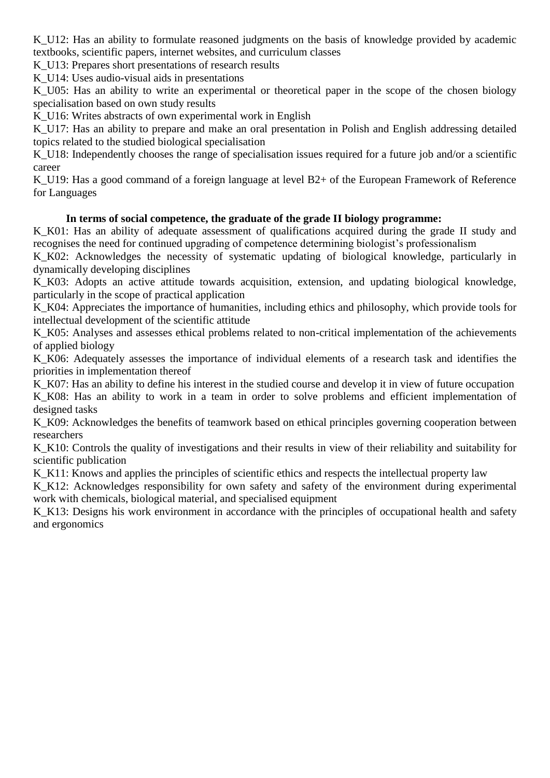K U12: Has an ability to formulate reasoned judgments on the basis of knowledge provided by academic textbooks, scientific papers, internet websites, and curriculum classes

K\_U13: Prepares short presentations of research results

K U14: Uses audio-visual aids in presentations

K<sub>U05</sub>: Has an ability to write an experimental or theoretical paper in the scope of the chosen biology specialisation based on own study results

K U16: Writes abstracts of own experimental work in English

K U17: Has an ability to prepare and make an oral presentation in Polish and English addressing detailed topics related to the studied biological specialisation

K\_U18: Independently chooses the range of specialisation issues required for a future job and/or a scientific career

K U19: Has a good command of a foreign language at level B2+ of the European Framework of Reference for Languages

### **In terms of social competence, the graduate of the grade II biology programme:**

K<sub>K01</sub>: Has an ability of adequate assessment of qualifications acquired during the grade II study and recognises the need for continued upgrading of competence determining biologist's professionalism

K\_K02: Acknowledges the necessity of systematic updating of biological knowledge, particularly in dynamically developing disciplines

K\_K03: Adopts an active attitude towards acquisition, extension, and updating biological knowledge, particularly in the scope of practical application

K\_K04: Appreciates the importance of humanities, including ethics and philosophy, which provide tools for intellectual development of the scientific attitude

K\_K05: Analyses and assesses ethical problems related to non-critical implementation of the achievements of applied biology

K\_K06: Adequately assesses the importance of individual elements of a research task and identifies the priorities in implementation thereof

K\_K07: Has an ability to define his interest in the studied course and develop it in view of future occupation K\_K08: Has an ability to work in a team in order to solve problems and efficient implementation of designed tasks

K\_K09: Acknowledges the benefits of teamwork based on ethical principles governing cooperation between researchers

K\_K10: Controls the quality of investigations and their results in view of their reliability and suitability for scientific publication

K\_K11: Knows and applies the principles of scientific ethics and respects the intellectual property law

K K12: Acknowledges responsibility for own safety and safety of the environment during experimental work with chemicals, biological material, and specialised equipment

K\_K13: Designs his work environment in accordance with the principles of occupational health and safety and ergonomics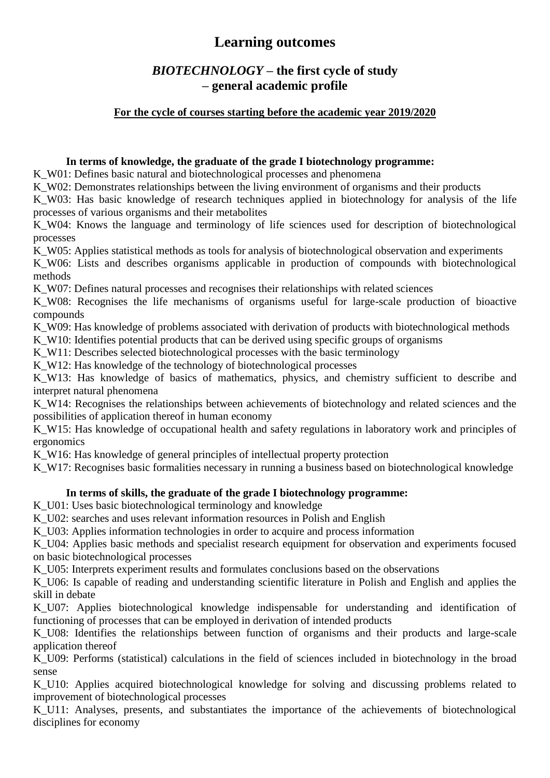## *BIOTECHNOLOGY* **– the first cycle of study – general academic profile**

### **For the cycle of courses starting before the academic year 2019/2020**

### **In terms of knowledge, the graduate of the grade I biotechnology programme:**

K\_W01: Defines basic natural and biotechnological processes and phenomena

K W02: Demonstrates relationships between the living environment of organisms and their products

K W03: Has basic knowledge of research techniques applied in biotechnology for analysis of the life processes of various organisms and their metabolites

K W04: Knows the language and terminology of life sciences used for description of biotechnological processes

K W05: Applies statistical methods as tools for analysis of biotechnological observation and experiments

K W06: Lists and describes organisms applicable in production of compounds with biotechnological methods

K W07: Defines natural processes and recognises their relationships with related sciences

K\_W08: Recognises the life mechanisms of organisms useful for large-scale production of bioactive compounds

K\_W09: Has knowledge of problems associated with derivation of products with biotechnological methods

K W10: Identifies potential products that can be derived using specific groups of organisms

K\_W11: Describes selected biotechnological processes with the basic terminology

K\_W12: Has knowledge of the technology of biotechnological processes

K\_W13: Has knowledge of basics of mathematics, physics, and chemistry sufficient to describe and interpret natural phenomena

K W14: Recognises the relationships between achievements of biotechnology and related sciences and the possibilities of application thereof in human economy

K\_W15: Has knowledge of occupational health and safety regulations in laboratory work and principles of ergonomics

K W16: Has knowledge of general principles of intellectual property protection

K W17: Recognises basic formalities necessary in running a business based on biotechnological knowledge

### **In terms of skills, the graduate of the grade I biotechnology programme:**

K\_U01: Uses basic biotechnological terminology and knowledge

K\_U02: searches and uses relevant information resources in Polish and English

K\_U03: Applies information technologies in order to acquire and process information

K\_U04: Applies basic methods and specialist research equipment for observation and experiments focused on basic biotechnological processes

K\_U05: Interprets experiment results and formulates conclusions based on the observations

K\_U06: Is capable of reading and understanding scientific literature in Polish and English and applies the skill in debate

K\_U07: Applies biotechnological knowledge indispensable for understanding and identification of functioning of processes that can be employed in derivation of intended products

K U08: Identifies the relationships between function of organisms and their products and large-scale application thereof

K\_U09: Performs (statistical) calculations in the field of sciences included in biotechnology in the broad sense

K U10: Applies acquired biotechnological knowledge for solving and discussing problems related to improvement of biotechnological processes

K\_U11: Analyses, presents, and substantiates the importance of the achievements of biotechnological disciplines for economy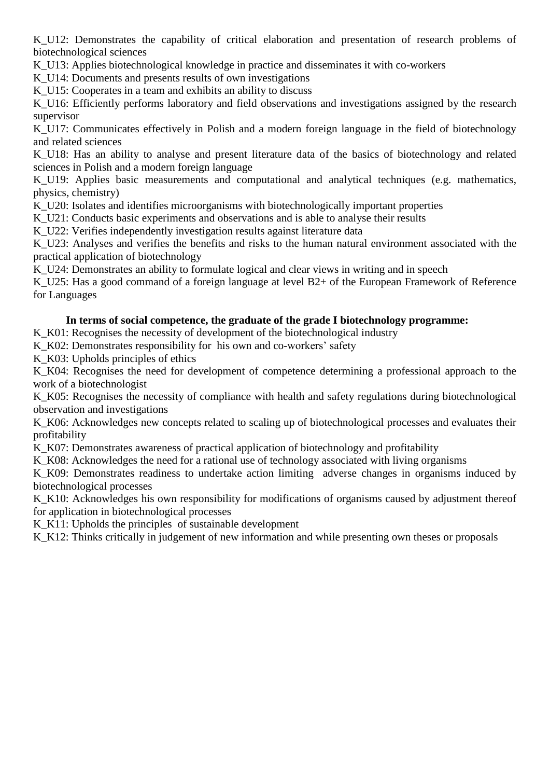K U12: Demonstrates the capability of critical elaboration and presentation of research problems of biotechnological sciences

K\_U13: Applies biotechnological knowledge in practice and disseminates it with co-workers

K U14: Documents and presents results of own investigations

K U15: Cooperates in a team and exhibits an ability to discuss

K U16: Efficiently performs laboratory and field observations and investigations assigned by the research supervisor

K U17: Communicates effectively in Polish and a modern foreign language in the field of biotechnology and related sciences

K\_U18: Has an ability to analyse and present literature data of the basics of biotechnology and related sciences in Polish and a modern foreign language

K U19: Applies basic measurements and computational and analytical techniques (e.g. mathematics, physics, chemistry)

K\_U20: Isolates and identifies microorganisms with biotechnologically important properties

K U21: Conducts basic experiments and observations and is able to analyse their results

K U22: Verifies independently investigation results against literature data

K U23: Analyses and verifies the benefits and risks to the human natural environment associated with the practical application of biotechnology

K U24: Demonstrates an ability to formulate logical and clear views in writing and in speech

K U25: Has a good command of a foreign language at level B2+ of the European Framework of Reference for Languages

#### **In terms of social competence, the graduate of the grade I biotechnology programme:**

K\_K01: Recognises the necessity of development of the biotechnological industry

K\_K02: Demonstrates responsibility for his own and co-workers' safety

K\_K03: Upholds principles of ethics

K<sub>K04</sub>: Recognises the need for development of competence determining a professional approach to the work of a biotechnologist

K\_K05: Recognises the necessity of compliance with health and safety regulations during biotechnological observation and investigations

K\_K06: Acknowledges new concepts related to scaling up of biotechnological processes and evaluates their profitability

K<sub>K07</sub>: Demonstrates awareness of practical application of biotechnology and profitability

K\_K08: Acknowledges the need for a rational use of technology associated with living organisms

K\_K09: Demonstrates readiness to undertake action limiting adverse changes in organisms induced by biotechnological processes

K\_K10: Acknowledges his own responsibility for modifications of organisms caused by adjustment thereof for application in biotechnological processes

K\_K11: Upholds the principles of sustainable development

K\_K12: Thinks critically in judgement of new information and while presenting own theses or proposals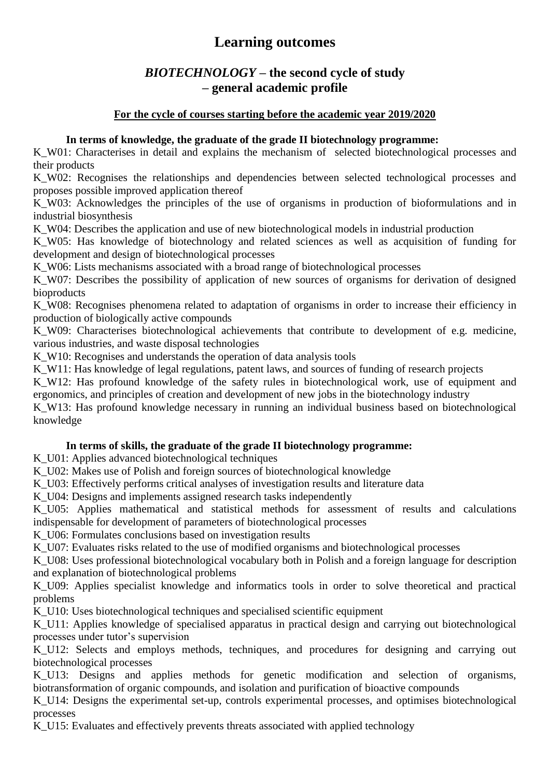## *BIOTECHNOLOGY* **– the second cycle of study – general academic profile**

### **For the cycle of courses starting before the academic year 2019/2020**

### **In terms of knowledge, the graduate of the grade II biotechnology programme:**

K W01: Characterises in detail and explains the mechanism of selected biotechnological processes and their products

K W02: Recognises the relationships and dependencies between selected technological processes and proposes possible improved application thereof

K\_W03: Acknowledges the principles of the use of organisms in production of bioformulations and in industrial biosynthesis

K\_W04: Describes the application and use of new biotechnological models in industrial production

K W05: Has knowledge of biotechnology and related sciences as well as acquisition of funding for development and design of biotechnological processes

K\_W06: Lists mechanisms associated with a broad range of biotechnological processes

K W07: Describes the possibility of application of new sources of organisms for derivation of designed bioproducts

K W08: Recognises phenomena related to adaptation of organisms in order to increase their efficiency in production of biologically active compounds

K W09: Characterises biotechnological achievements that contribute to development of e.g. medicine, various industries, and waste disposal technologies

K W10: Recognises and understands the operation of data analysis tools

K W11: Has knowledge of legal regulations, patent laws, and sources of funding of research projects

K W12: Has profound knowledge of the safety rules in biotechnological work, use of equipment and ergonomics, and principles of creation and development of new jobs in the biotechnology industry

K\_W13: Has profound knowledge necessary in running an individual business based on biotechnological knowledge

### **In terms of skills, the graduate of the grade II biotechnology programme:**

K\_U01: Applies advanced biotechnological techniques

K\_U02: Makes use of Polish and foreign sources of biotechnological knowledge

K\_U03: Effectively performs critical analyses of investigation results and literature data

K\_U04: Designs and implements assigned research tasks independently

K\_U05: Applies mathematical and statistical methods for assessment of results and calculations indispensable for development of parameters of biotechnological processes

K\_U06: Formulates conclusions based on investigation results

K\_U07: Evaluates risks related to the use of modified organisms and biotechnological processes

K\_U08: Uses professional biotechnological vocabulary both in Polish and a foreign language for description and explanation of biotechnological problems

K U09: Applies specialist knowledge and informatics tools in order to solve theoretical and practical problems

K\_U10: Uses biotechnological techniques and specialised scientific equipment

K U11: Applies knowledge of specialised apparatus in practical design and carrying out biotechnological processes under tutor's supervision

K\_U12: Selects and employs methods, techniques, and procedures for designing and carrying out biotechnological processes

K\_U13: Designs and applies methods for genetic modification and selection of organisms, biotransformation of organic compounds, and isolation and purification of bioactive compounds

K\_U14: Designs the experimental set-up, controls experimental processes, and optimises biotechnological processes

K\_U15: Evaluates and effectively prevents threats associated with applied technology